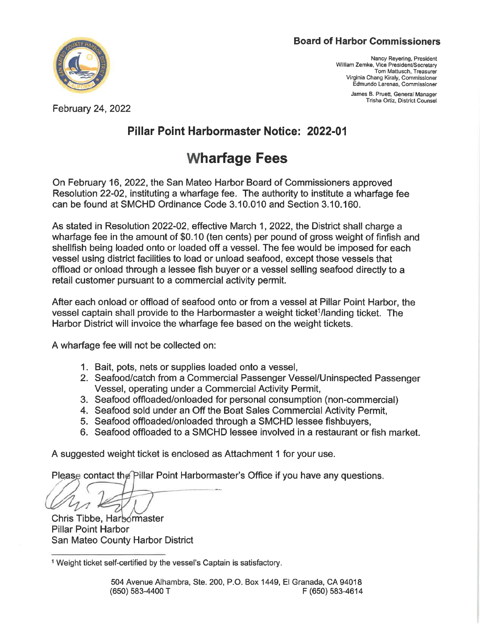#### Board of Harbor Commissioners



February 24, 2022

Nancy Reyering, President William Zemke, Vice President/Secretary Tom Mattusch. Treasurer Virginia Chang Kiraly, Commissioner Edmundo Larenas, Commissioner

> James B. Pruett, General Manager Trisha Ortiz, District Counsel

## Pillar Point Harbormaster Notice: 2022-01

# **Wharfage Fees**

On February 16, 2022, the San Mateo Harbor Board of Commissioners approved Resolution 22-02, instituting a wharfage fee. The authority to institute a wharfage fee can be found at SMCHD Ordinance Code 3. 10.010 and Section 3. 10. 160.

As stated in Resolution 2022-02, effective March 1, 2022, the District shall charge a wharfage fee in the amount of \$0. 10 (ten cents) per pound of gross weight of finfish and shellfish being loaded onto or loaded off a vessel. The fee would be imposed for each vessel using district facilities to load or unload seafood, except those vessels that offload or onload through a lessee fish buyer or a vessel selling seafood directly to a retail customer pursuant to a commercial activity permit.

After each onload or offload of seafood onto or from a vessel at Pillar Point Harbor, the vessel captain shall provide to the Harbormaster a weight ticket<sup>1</sup>/landing ticket. The Harbor District will invoice the wharfage fee based on the weight tickets.

A wharfage fee will not be collected on:

- 1. Bait, pots, nets or supplies loaded onto a vessel,
- 2. Seafood/catch from a Commercial Passenger Vessel/Uninspected Passenger Vessel, operating under a Commercial Activity Permit,
- 3. Seafood offloaded/onloaded for personal consumption (non-commercial)
- 4. Seafood sold under an Off the Boat Sales Commercial Activity Permit,
- 5. Seafood offloaded/onloaded through a SMCHD lessee fishbuyers,
- 6. Seafood offloaded to a SMCHD lessee involved in a restaurant or fish market.

A suggested weight ticket is enclosed as Attachment 1 for your use.

Please contact the Pillar Point Harbormaster's Office if you have any questions.

Chris Tibbe, Harbormaster Pillar Point Harbor San Mateo County Harbor District

<sup>1</sup> Weight ticket self-certified by the vessel's Captain is satisfactory.